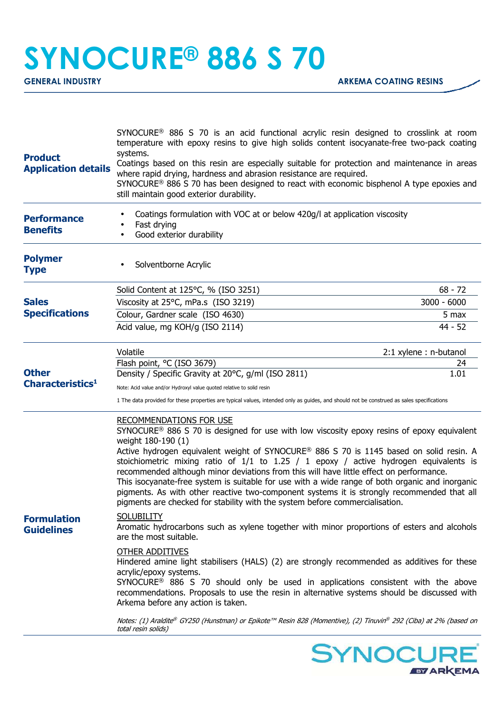## **SYNOCURE® 886 S 70**

| <b>Product</b><br><b>Application details</b> | SYNOCURE <sup>®</sup> 886 S 70 is an acid functional acrylic resin designed to crosslink at room<br>temperature with epoxy resins to give high solids content isocyanate-free two-pack coating<br>systems.<br>Coatings based on this resin are especially suitable for protection and maintenance in areas<br>where rapid drying, hardness and abrasion resistance are required.<br>SYNOCURE <sup>®</sup> 886 S 70 has been designed to react with economic bisphenol A type epoxies and<br>still maintain good exterior durability.                                                                                                                                                                                            |                        |
|----------------------------------------------|---------------------------------------------------------------------------------------------------------------------------------------------------------------------------------------------------------------------------------------------------------------------------------------------------------------------------------------------------------------------------------------------------------------------------------------------------------------------------------------------------------------------------------------------------------------------------------------------------------------------------------------------------------------------------------------------------------------------------------|------------------------|
| <b>Performance</b><br><b>Benefits</b>        | Coatings formulation with VOC at or below 420g/l at application viscosity<br>Fast drying<br>Good exterior durability                                                                                                                                                                                                                                                                                                                                                                                                                                                                                                                                                                                                            |                        |
| <b>Polymer</b><br><b>Type</b>                | Solventborne Acrylic                                                                                                                                                                                                                                                                                                                                                                                                                                                                                                                                                                                                                                                                                                            |                        |
| <b>Sales</b><br><b>Specifications</b>        | Solid Content at 125°C, % (ISO 3251)                                                                                                                                                                                                                                                                                                                                                                                                                                                                                                                                                                                                                                                                                            | $68 - 72$              |
|                                              | Viscosity at 25°C, mPa.s (ISO 3219)                                                                                                                                                                                                                                                                                                                                                                                                                                                                                                                                                                                                                                                                                             | $3000 - 6000$          |
|                                              | Colour, Gardner scale (ISO 4630)                                                                                                                                                                                                                                                                                                                                                                                                                                                                                                                                                                                                                                                                                                | 5 max                  |
|                                              | Acid value, mg KOH/g (ISO 2114)                                                                                                                                                                                                                                                                                                                                                                                                                                                                                                                                                                                                                                                                                                 | $44 - 52$              |
|                                              | Volatile                                                                                                                                                                                                                                                                                                                                                                                                                                                                                                                                                                                                                                                                                                                        | 2:1 xylene : n-butanol |
|                                              | Flash point, °C (ISO 3679)                                                                                                                                                                                                                                                                                                                                                                                                                                                                                                                                                                                                                                                                                                      | 24                     |
| <b>Other</b>                                 | Density / Specific Gravity at 20°C, g/ml (ISO 2811)                                                                                                                                                                                                                                                                                                                                                                                                                                                                                                                                                                                                                                                                             | 1.01                   |
| Characteristics <sup>1</sup>                 | Note: Acid value and/or Hydroxyl value quoted relative to solid resin                                                                                                                                                                                                                                                                                                                                                                                                                                                                                                                                                                                                                                                           |                        |
|                                              | 1 The data provided for these properties are typical values, intended only as guides, and should not be construed as sales specifications                                                                                                                                                                                                                                                                                                                                                                                                                                                                                                                                                                                       |                        |
| <b>Formulation</b><br><b>Guidelines</b>      | <b>RECOMMENDATIONS FOR USE</b><br>$SYNOCURE^{\circ}$ 886 S 70 is designed for use with low viscosity epoxy resins of epoxy equivalent<br>weight 180-190 (1)<br>Active hydrogen equivalent weight of SYNOCURE® 886 S 70 is 1145 based on solid resin. A<br>stoichiometric mixing ratio of $1/1$ to $1.25$ / 1 epoxy / active hydrogen equivalents is<br>recommended although minor deviations from this will have little effect on performance.<br>This isocyanate-free system is suitable for use with a wide range of both organic and inorganic<br>pigments. As with other reactive two-component systems it is strongly recommended that all<br>pigments are checked for stability with the system before commercialisation. |                        |
|                                              | <b>SOLUBILITY</b><br>Aromatic hydrocarbons such as xylene together with minor proportions of esters and alcohols<br>are the most suitable.                                                                                                                                                                                                                                                                                                                                                                                                                                                                                                                                                                                      |                        |
|                                              | <b>OTHER ADDITIVES</b><br>Hindered amine light stabilisers (HALS) (2) are strongly recommended as additives for these<br>acrylic/epoxy systems.<br>SYNOCURE <sup>®</sup> 886 S 70 should only be used in applications consistent with the above<br>recommendations. Proposals to use the resin in alternative systems should be discussed with<br>Arkema before any action is taken.                                                                                                                                                                                                                                                                                                                                            |                        |
|                                              | Notes: (1) Araldite® GY250 (Hunstman) or Epikote™ Resin 828 (Momentive), (2) Tinuvin® 292 (Ciba) at 2% (based on<br>total resin solids)                                                                                                                                                                                                                                                                                                                                                                                                                                                                                                                                                                                         |                        |